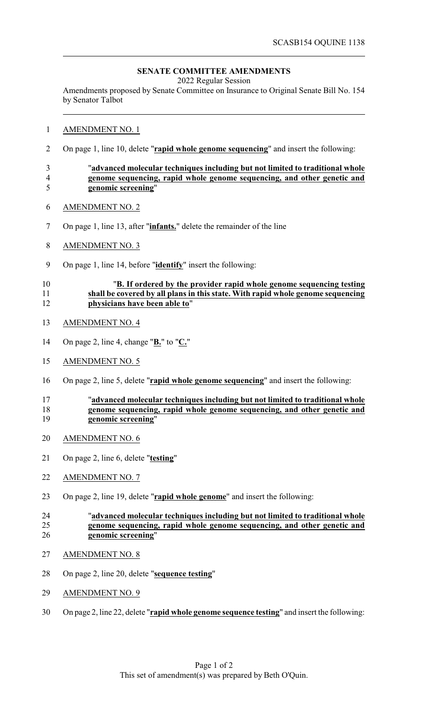# **SENATE COMMITTEE AMENDMENTS**

2022 Regular Session

Amendments proposed by Senate Committee on Insurance to Original Senate Bill No. 154 by Senator Talbot

- AMENDMENT NO. 1
- On page 1, line 10, delete "**rapid whole genome sequencing**" and insert the following:

### "**advanced molecular techniques including but not limited to traditional whole genome sequencing, rapid whole genome sequencing, and other genetic and genomic screening**"

- AMENDMENT NO. 2
- On page 1, line 13, after "**infants.**" delete the remainder of the line
- AMENDMENT NO. 3
- On page 1, line 14, before "**identify**" insert the following:

### "**B. If ordered by the provider rapid whole genome sequencing testing shall be covered by all plans in this state. With rapid whole genome sequencing physicians have been able to**"

- AMENDMENT NO. 4
- On page 2, line 4, change "**B.**" to "**C.**"
- AMENDMENT NO. 5
- On page 2, line 5, delete "**rapid whole genome sequencing**" and insert the following:

#### "**advanced molecular techniques including but not limited to traditional whole genome sequencing, rapid whole genome sequencing, and other genetic and genomic screening**"

- AMENDMENT NO. 6
- On page 2, line 6, delete "**testing**"
- AMENDMENT NO. 7
- On page 2, line 19, delete "**rapid whole genome**" and insert the following:

## "**advanced molecular techniques including but not limited to traditional whole genome sequencing, rapid whole genome sequencing, and other genetic and genomic screening**"

- AMENDMENT NO. 8
- On page 2, line 20, delete "**sequence testing**"
- AMENDMENT NO. 9
- On page 2, line 22, delete "**rapid whole genome sequence testing**" and insert the following: